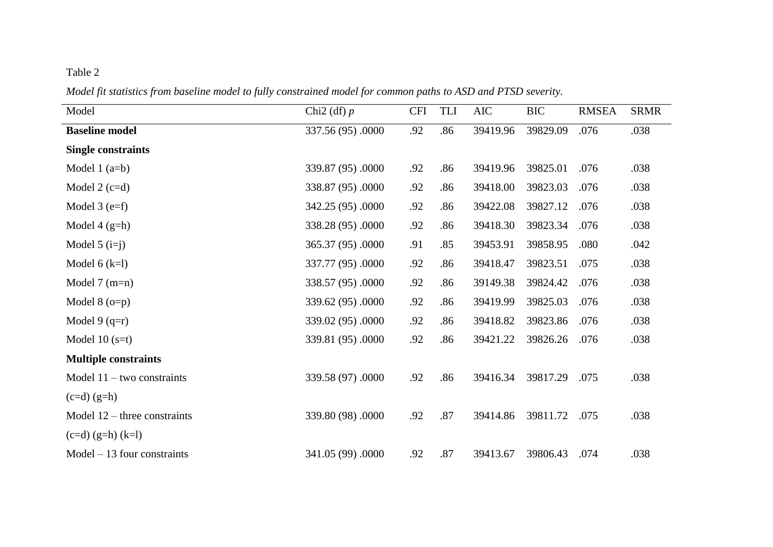## Table 2

| Model                          | Chi <sub>2</sub> (df) $p$ | <b>CFI</b> | TLI | AIC      | <b>BIC</b> | <b>RMSEA</b> | <b>SRMR</b> |
|--------------------------------|---------------------------|------------|-----|----------|------------|--------------|-------------|
| <b>Baseline model</b>          | 337.56 (95) .0000         | .92        | .86 | 39419.96 | 39829.09   | .076         | .038        |
| <b>Single constraints</b>      |                           |            |     |          |            |              |             |
| Model $1(a=b)$                 | 339.87 (95) .0000         | .92        | .86 | 39419.96 | 39825.01   | .076         | .038        |
| Model $2$ (c=d)                | 338.87 (95) .0000         | .92        | .86 | 39418.00 | 39823.03   | .076         | .038        |
| Model $3$ (e=f)                | 342.25 (95) .0000         | .92        | .86 | 39422.08 | 39827.12   | .076         | .038        |
| Model $4(g=h)$                 | 338.28 (95) .0000         | .92        | .86 | 39418.30 | 39823.34   | .076         | .038        |
| Model $5(i=j)$                 | 365.37 (95) .0000         | .91        | .85 | 39453.91 | 39858.95   | .080         | .042        |
| Model $6$ (k=l)                | 337.77 (95) .0000         | .92        | .86 | 39418.47 | 39823.51   | .075         | .038        |
| Model $7$ (m=n)                | 338.57 (95) .0000         | .92        | .86 | 39149.38 | 39824.42   | .076         | .038        |
| Model $8$ (o=p)                | 339.62 (95) .0000         | .92        | .86 | 39419.99 | 39825.03   | .076         | .038        |
| Model 9 $(q=r)$                | 339.02 (95) .0000         | .92        | .86 | 39418.82 | 39823.86   | .076         | .038        |
| Model 10 $(s=t)$               | 339.81 (95) .0000         | .92        | .86 | 39421.22 | 39826.26   | .076         | .038        |
| <b>Multiple constraints</b>    |                           |            |     |          |            |              |             |
| Model $11 -$ two constraints   | 339.58 (97) .0000         | .92        | .86 | 39416.34 | 39817.29   | .075         | .038        |
| $(c=d)$ $(g=h)$                |                           |            |     |          |            |              |             |
| Model $12$ – three constraints | 339.80 (98) .0000         | .92        | .87 | 39414.86 | 39811.72   | .075         | .038        |
| $(c=d)$ $(g=h)$ $(k=l)$        |                           |            |     |          |            |              |             |
| $Model - 13$ four constraints  | 341.05 (99) .0000         | .92        | .87 | 39413.67 | 39806.43   | .074         | .038        |

*Model fit statistics from baseline model to fully constrained model for common paths to ASD and PTSD severity.*